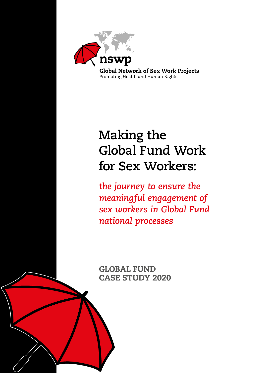

# **Making the Global Fund Work for Sex Workers:**

*the journey to ensure the meaningful engagement of sex workers in Global Fund national processes*

GLOBAL FUND CASE STUDY 2020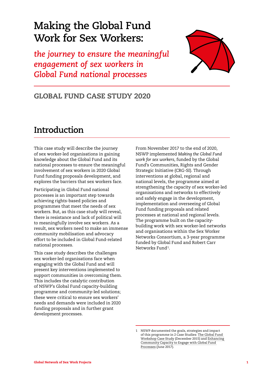## **Making the Global Fund Work for Sex Workers:**

*the journey to ensure the meaningful engagement of sex workers in Global Fund national processes*



### GLOBAL FUND CASE STUDY 2020

## **Introduction**

This case study will describe the journey of sex worker-led organisations in gaining knowledge about the Global Fund and its national processes to ensure the meaningful involvement of sex workers in 2020 Global Fund funding proposals development, and explores the barriers that sex workers face.

Participating in Global Fund national processes is an important step towards achieving rights-based policies and programmes that meet the needs of sex workers. But, as this case study will reveal, there is resistance and lack of political will to meaningfully involve sex workers. As a result, sex workers need to make an immense community mobilisation and advocacy effort to be included in Global Fund-related national processes.

This case study describes the challenges sex worker-led organisations face when engaging with the Global Fund and will present key interventions implemented to support communities in overcoming them. This includes the catalytic contribution of NSWP's Global Fund capacity-building programme and community-led solutions; these were critical to ensure sex workers' needs and demands were included in 2020 funding proposals and in further grant development processes.

From November 2017 to the end of 2020, NSWP implemented *Making the Global Fund work for sex workers*, funded by the Global Fund's Communities, Rights and Gender Strategic Initiative (CRG-SI). Through interventions at global, regional and national levels, the programme aimed at strengthening the capacity of sex worker-led organisations and networks to effectively and safely engage in the development, implementation and overseeing of Global Fund funding proposals and related processes at national and regional levels. The programme built on the capacitybuilding work with sex worker-led networks and organisations within the Sex Worker Networks Consortium, a 3-year programme funded by Global Fund and Robert Carr Networks Fund1.

<sup>1</sup> NSWP documented the goals, strategies and impact of this programme in 2 Case Studies: [The Global Fund](https://www.nswp.org/resource/the-global-fund-workshop-case-study)  [Workshop Case Study](https://www.nswp.org/resource/the-global-fund-workshop-case-study) (December 2015) and [Enhancing](https://www.nswp.org/resource/enhancing-community-capacity-engage-global-fund-processes-case-study)  [Community Capacity to Engage with Global Fund](https://www.nswp.org/resource/enhancing-community-capacity-engage-global-fund-processes-case-study)  [Processes](https://www.nswp.org/resource/enhancing-community-capacity-engage-global-fund-processes-case-study) (June 2017).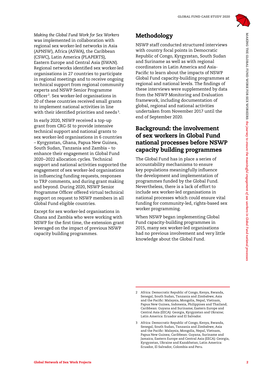

*Making the Global Fund Work for Sex Workers* was implemented in collaboration with regional sex worker-led networks in Asia (APNSW), Africa (ASWA), the Caribbean (CSWC), Latin America (PLAPERTS), Eastern Europe and Central Asia (SWAN). Regional networks identified sex worker-led organisations in 27 countries to participate in regional meetings and to receive ongoing technical support from regional community experts and NSWP Senior Programme Officer<sup>2</sup>. Sex worker-led organisations in 20 of these countries received small grants to implement national activities in line with their identified priorities and needs<sup>3</sup>.

Meloni Network of Sex Workers 2MAKING The Cloud Control of Sex Work Control of Sex Work Control of Sex Work Control of Sex Work Control of Sex Work Control of Sex Work Control of Sex Work Control of Sex Work Control of Sex In early 2020, NSWP received a top-up grant from CRG-SI to provide intensive technical support and national grants to sex worker-led organisations in 6 countries – Kyrgyzstan, Ghana, Papua New Guinea, South Sudan, Tanzania and Zambia – to enhance their engagement in Global Fund 2020–2022 allocation cycles. Technical support and national activities supported the engagement of sex worker-led organisations in influencing funding requests, responses to TRP comments, and during grant making and beyond. During 2020, NSWP Senior Programme Officer offered virtual technical support on request to NSWP members in all Global Fund eligible countries.

Except for sex worker-led organisations in Ghana and Zambia who were working with NSWP for the first time, the extension grant leveraged on the impact of previous NSWP capacity building programmes.

### Methodology

NSWP staff conducted structured interviews with country focal points in Democratic Republic of Congo, Kyrgyzstan, South Sudan and Suriname as well as with regional coordinators in Latin America and Asia-Pacific to learn about the impacts of NSWP Global Fund capacity-building programmes at regional and national levels. The findings of these interviews were supplemented by data from the NSWP Monitoring and Evaluation framework, including documentation of global, regional and national activities undertaken from November 2017 until the end of September 2020.

#### Background: the involvement of sex workers in Global Fund national processes before NSWP capacity building programmes

The Global Fund has in place a series of accountability mechanisms to ensure key populations meaningfully influence the development and implementation of programmes funded by the Global Fund. Nevertheless, there is a lack of effort to include sex worker-led organisations in national processes which could ensure vital funding for community-led, rights-based sex worker programming.

When NSWP began implementing Global Fund capacity-building programmes in 2015, many sex worker-led organisations had no previous involvement and very little knowledge about the Global Fund.

<sup>2</sup> Africa: Democratic Republic of Congo, Kenya, Rwanda, Senegal, South Sudan, Tanzania and Zimbabwe; Asia and the Pacific: Malaysia, Mongolia, Nepal, Vietnam, Papua New Guinea, Indonesia, Philippines and Thailand; Caribbean: Guyana and Suriname; Eastern Europe and Central Asia (EECA): Georgia, Kyrgyzstan and Ukraine; Latin America: Ecuador and El Salvador.

<sup>3</sup> Africa: Democratic Republic of Congo, Kenya, Rwanda, Senegal, South Sudan, Tanzania and Zimbabwe; Asia and the Pacific: Malaysia, Mongolia, Nepal, Vietnam, Papua New Guinea; Caribbean: Guyana, Suriname and Jamaica; Eastern Europe and Central Asia (EECA): Georgia, Kyrgyzstan, Ukraine and Kazakhstan; Latin America: Ecuador, El Salvador, Colombia and Peru.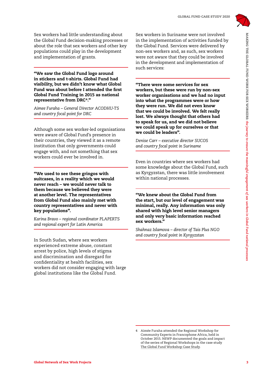

Sex workers had little understanding about the Global Fund decision-making processes or about the role that sex workers and other key populations could play in the development and implementation of grants.

"We saw the Global Fund logo around in stickers and t-shirts. Global Fund had visibility, but we didn't know what Global Fund was about before I attended the first Global Fund Training in 2015 as national representative from DRC4."

*Aimee Furaha – General Director ACODHU-TS and country focal point for DRC*

Although some sex worker-led organisations were aware of Global Fund's presence in their countries, they viewed it as a remote institution that only governments could engage with, and not something that sex workers could ever be involved in.

"We used to see these gringos with suitcases, in a reality which we would never reach – we would never talk to them because we believed they were at another level. The representatives from Global Fund also mainly met with country representatives and never with key populations".

*Karina Bravo – regional coordinator PLAPERTS and regional expert for Latin America*

In South Sudan, where sex workers experienced extreme abuse, constant arrest by police, high levels of stigma and discrimination and disregard for confidentiality at health facilities, sex workers did not consider engaging with large global institutions like the Global Fund.

Sex workers in Suriname were not involved in the implementation of activities funded by the Global Fund. Services were delivered by non-sex workers and, as such, sex workers were not aware that they could be involved in the development and implementation of such services:

Sex Workers has likely understanding above.<br>
Sex Workers in the formula of the state of the meaning term of the state of the formula and the state of the state of the state of the state of the state of the state of the sta "There were some services for sex workers, but these were run by non-sex worker organisations and we had no input into what the programmes were or how they were run. We did not even know that we could be involved. We felt really lost. We always thought that others had to speak for us, and we did not believe we could speak up for ourselves or that we could be leaders".

*Denise Carr – executive director SUCOS and country focal point in Suriname*

Even in countries where sex workers had some knowledge about the Global Fund, such as Kyrgyzstan, there was little involvement within national processes.

"We knew about the Global Fund from the start, but our level of engagement was minimal, really. Any information was only shared with high level senior managers and only very basic information reached sex workers."

*Shahnaz Islamova – director of Tais Plus NGO and country focal point in Kyrgyzstan*

4 Aimée Furaha attended the Regional Workshop for Community Experts in Francophone Africa, held in October 2015. NSWP documented the goals and impact of the series of Regional Workshops in the case study

The [Global Fund Workshop Case Study.](https://www.nswp.org/resource/the-global-fund-workshop-case-study)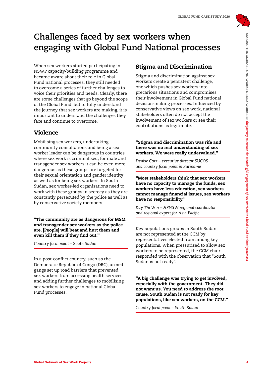

## **Challenges faced by sex workers when engaging with Global Fund National processes**

When sex workers started participating in NSWP capacity-building programme and became aware about their role in Global Fund national processes, they still needed to overcome a series of further challenges to voice their priorities and needs. Clearly, there are some challenges that go beyond the scope of the Global Fund, but to fully understand the journey that sex workers are making, it is important to understand the challenges they face and continue to overcome.

### Violence

Challenges faced by sex workers when modificant processes<br>
Whenever were hard a summarization of the game and bisering and processes<br>
is the meaning parameter and the included<br>
is the meaning and the formula in the meanin Mobilising sex workers, undertaking community consultations and being a sex worker leader can be dangerous in countries where sex work is criminalised; for male and transgender sex workers it can be even more dangerous as these groups are targeted for their sexual orientation and gender identity as well as for being sex workers. In South Sudan, sex worker-led organisations need to work with these groups in secrecy as they are constantly persecuted by the police as well as by conservative society members.

"The community are as dangerous for MSM and transgender sex workers as the police are. [People] will beat and hurt them and even kill them if they find out."

*Country focal point – South Sudan*

In a post-conflict country, such as the Democratic Republic of Congo (DRC), armed gangs set up road barriers that prevented sex workers from accessing health services and adding further challenges to mobilising sex workers to engage in national Global Fund processes.

#### Stigma and Discrimination

Stigma and discrimination against sex workers create a persistent challenge, one which pushes sex workers into precarious situations and compromises their involvement in Global Fund national decision-making processes. Influenced by conservative views on sex work, national stakeholders often do not accept the involvement of sex workers or see their contributions as legitimate.

#### "Stigma and discrimination was rife and there was no real understanding of sex workers. We were really undervalued."

*Denise Carr – executive director SUCOS and country focal point in Suriname*

#### "Most stakeholders think that sex workers have no capacity to manage the funds, sex workers have less education, sex workers cannot manage financial issues, sex workers have no responsibility."

*Kay Thi Win – APNSW regional coordinator and regional expert for Asia Pacific*

Key populations groups in South Sudan are not represented at the CCM by representatives elected from among key populations. When pressurised to allow sex workers to be represented, the CCM chair responded with the observation that "South Sudan is not ready".

"A big challenge was trying to get involved, especially with the government. They did not want us. You need to address the root cause. South Sudan is not ready for key populations, like sex workers, on the CCM."

*Country focal point – South Sudan*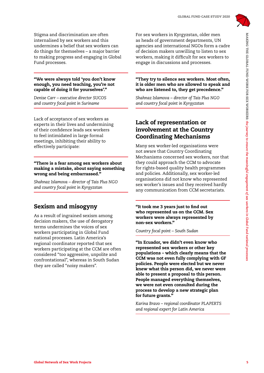

Stigma and discrimination are often internalised by sex workers and this undermines a belief that sex workers can do things for themselves – a major barrier to making progress and engaging in Global Fund processes.

#### "We were always told 'you don't know enough, you need teaching, you're not capable of doing it for yourselves'."

*Denise Carr – executive director SUCOS and country focal point in Suriname*

Lack of acceptance of sex workers as experts in their lives and undermining of their confidence leads sex workers to feel intimidated in large formal meetings, inhibiting their ability to effectively participate:

#### "There is a fear among sex workers about making a mistake, about saying something wrong and being embarrassed."

*Shahnaz Islamova – director of Tais Plus NGO and country focal point in Kyrgyzstan*

### Sexism and misogyny

As a result of ingrained sexism among decision makers, the use of derogatory terms undermines the voices of sex workers participating in Global Fund national processes. Latin America's regional coordinator reported that sex workers participating at the CCM are often considered "too aggressive, unpolite and confrontational", whereas in South Sudan they are called "noisy makers".

For sex workers in Kyrgyzstan, older men as heads of government departments, UN agencies and international NGOs form a cadre of decision makers unwilling to listen to sex workers, making it difficult for sex workers to engage in discussions and processes.

"They try to silence sex workers. Most often, it is older men who are allowed to speak and who are listened to, they get precedence."

*Shahnaz Islamova – director of Tais Plus NGO and country focal point in Kyrgyzstan*

#### Lack of representation or involvement at the Country Coordinating Mechanisms

Many sex worker-led organisations were not aware that Country Coordinating Mechanisms concerned sex workers, nor that they could approach the CCM to advocate for rights-based quality health programmes and policies. Additionally, sex worker-led organisations did not know who represented sex worker's issues and they received hardly any communication from CCM secretariats.

"It took me 3 years just to find out who represented us on the CCM. Sex workers were always represented by non-sex workers."

*Country focal point – South Sudan*

Slope and the internation to other work of the international terms of the projects of the international fund of the international fund of the international projects and projects in meaning in Global contents in the meaning "In Ecuador, we didn't even know who represented sex workers or other key populations – which clearly means that the CCM was not even fully complying with GF policies. People were elected but we never knew what this person did, we never were able to present a proposal to this person. People managed everything themselves, we were not even consulted during the process to develop a new strategic plan for future grants."

*Karina Bravo – regional coordinator PLAPERTS and regional expert for Latin America*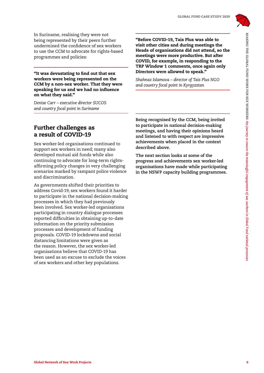

In Suriname, realising they were not being represented by their peers further undermined the confidence of sex workers to use the CCM to advocate for rights-based programmes and policies:

"It was devastating to find out that sex workers were being represented on the CCM by a non-sex worker. That they were speaking for us and we had no influence on what they said."

*Denise Carr – executive director SUCOS and country focal point in Suriname*

Further challenges as a result of COVID-19

Sex worker-led organisations continued to support sex workers in need; many also developed mutual aid funds while also continuing to advocate for long-term rightsaffirming policy changes in very challenging scenarios marked by rampant police violence and discrimination.

In Section, the Section of Section of The Section of The Section of The Section of Section 1974. The Section of the mean side of the section of the meaning to the meaning the meaning to the meaning to the meaning the meani As governments shifted their priorities to address Covid-19, sex workers found it harder to participate in the national decision-making processes in which they had previously been involved. Sex worker-led organisations participating in country dialogue processes reported difficulties in obtaining up-to-date information on the priority submission processes and development of funding proposals. COVID-19 lockdowns and social distancing limitations were given as the reason. However, the sex worker-led organisations believe that COVID-19 has been used as an excuse to exclude the voices of sex workers and other key populations.

"Before COVID-19, Tais Plus was able to visit other cities and during meetings the Heads of organisations did not attend, so the meetings were more productive. But after COVID, for example, in responding to the TRP Window 1 comments, once again only Directors were allowed to speak."

*Shahnaz Islamova – director of Tais Plus NGO and country focal point in Kyrgyzstan*

**Being recognised by the CCM, being invited to participate in national decision-making meetings, and having their opinions heard and listened to with respect are impressive achievements when placed in the context described above.** 

**The next section looks at some of the progress and achievements sex worker-led organisations have made while participating in the NSWP capacity building programmes.**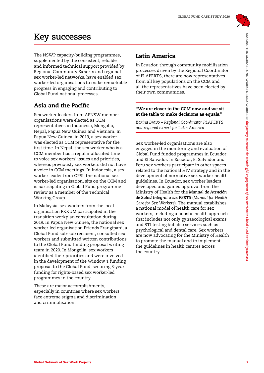

## **Key successes**

The NSWP capacity-building programmes, supplemented by the consistent, reliable and informed technical support provided by Regional Community Experts and regional sex worker-led networks, have enabled sex worker-led organisations to make remarkable progress in engaging and contributing to Global Fund national processes.

### Asia and the Pacific

Sex worker leaders from APNSW member organisations were elected as CCM representatives in Indonesia, Mongolia, Nepal, Papua New Guinea and Vietnam. In Papua New Guinea, in 2019, a sex worker was elected as CCM representative for the first time. In Nepal, the sex worker who is a CCM member has a regular allocated time to voice sex workers' issues and priorities, whereas previously sex workers did not have a voice in CCM meetings. In Indonesia, a sex worker leader from OPSI, the national sex worker-led organisation, sits on the CCM and is participating in Global Fund programme review as a member of the Technical Working Group.

In Malaysia, sex workers from the local organisation PKKUM participated in the transition workplan consultation during 2019. In Papua New Guinea, the national sex worker-led organisation Friends Frangipani, a Global Fund sub-sub recipient, consulted sex workers and submitted written contributions to the Global Fund funding proposal writing team in 2020. In Mongolia, sex workers identified their priorities and were involved in the development of the Window 1 funding proposal to the Global Fund, securing 3-year funding for rights-based sex worker-led programmes in the country.

These are major accomplishments, especially in countries where sex workers face extreme stigma and discrimination and criminalisation.

### Latin America

In Ecuador, through community mobilisation processes driven by the Regional Coordinator of PLAPERTS, there are now representatives from all key populations on the CCM and all the representatives have been elected by their own communities.

#### "We are closer to the CCM now and we sit at the table to make decisions as equals."

*Karina Bravo – Regional Coordinator PLAPERTS and regional expert for Latin America*

**Key Successes**<br>
The MSNetwork of Sex Most Provides by in Scansoft at the galaxies of the formulation and the projection of the projection of the projection of the projection of second and the projection of second and the Sex worker-led organisations are also engaged in the monitoring and evaluation of Global Fund funded programmes in Ecuador and El Salvador. In Ecuador, El Salvador and Peru sex workers participate in other spaces related to the national HIV strategy and in the development of normative sex worker health guidelines. In Ecuador, sex worker leaders developed and gained approval from the Ministry of Health for the *Manual de Atención de Salud Integral a las PERTS* (*Manual for Health Care for Sex Workers*). The manual establishes a national model of health care for sex workers, including a holistic health approach that includes not only gynaecological exams and STI testing but also services such as psychological and dental care. Sex workers are now advocating for the Ministry of Health to promote the manual and to implement the guidelines in health centres across the country.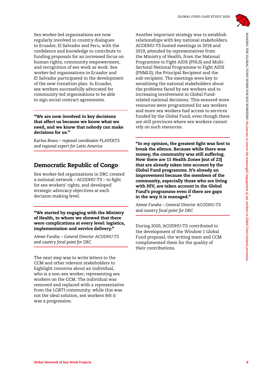

Sex worker-led organisations are now regularly involved in country dialogues in Ecuador, El Salvador and Peru, with the confidence and knowledge to contribute to funding proposals for an increased focus on human rights, community empowerment, and recognition of sex work as work. Sex worker-led organisations in Ecuador and El Salvador participated in the development of the new transition plan. In Ecuador, sex workers successfully advocated for community-led organisations to be able to sign social contract agreements.

"We are now involved in key decisions that affect us because we know what we need, and we know that nobody can make decisions for us."

*Karina Bravo – regional coordinator PLAPERTS and regional expert for Latin America*

#### Democratic Republic of Congo

Sex worker-led organisations in DRC created a national network – ACODHU-TS – to fight for sex workers' rights, and developed strategic advocacy objectives at each decision-making level.

"We started by engaging with the Ministry of Health, to whom we showed that there were complications at every level: logistics, implementation and service delivery."

*Aimee Furaha – General Director ACODHU-TS and country focal point for DRC*

The next step was to write letters to the CCM and other relevant stakeholders to highlight concerns about an individual, who is a non-sex worker, representing sex workers on the CCM. The individual was removed and replaced with a representative from the LGBTI community; while this was not the ideal solution, sex workers felt it was a progression.

Sex work in the second of Sex Work of Sex Work in the second of Sex Work Consults and the sex Worked Sex Work Projects 8 AMARING THE INSURE CONSULTS IN the sex Work Projects 8 AMARING THE GLOBAL FUND WELL ENGINE IN the se Another important strategy was to establish relationships with key national stakeholders. ACODHU-TS hosted meetings in 2018 and 2019, attended by representatives from the Ministry of Health, from the National Programme to Fight AIDS (PNLS) and Multi-Sectoral National Programme to Fight AIDS (PNMLS), the Principal Recipient and the sub-recipient. The meetings were key to sensitising the national stakeholders about the problems faced by sex workers and to increasing involvement in Global Fundrelated national decisions. This ensured more resources were programmed for sex workers and more sex workers had access to services funded by the Global Fund, even though there are still provinces where sex workers cannot rely on such resources.

"In my opinion, the greatest fight was first to break the silence. Because while there was money, the community was still suffering. Now there are 11 Health Zones [out of 23] that are already taken into account by the Global Fund programme. It's already an improvement because the members of the community, especially those who are living with HIV, are taken account in the Global Fund's programme even if there are gaps in the way it is managed."

*Aimee Furaha – General Director ACODHU-TS and country focal point for DRC*

During 2020, ACODHU-TS contributed to the development of the Window 1 Global Fund proposal; the writing team and CCM complimented them for the quality of their contributions.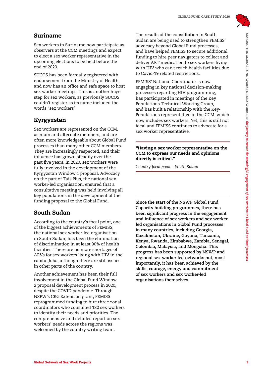

#### Suriname

Sex workers in Suriname now participate as observers at the CCM meetings and expect to elect a sex worker representative in the upcoming elections to be held before the end of 2020.

SUCOS has been formally registered with endorsement from the Ministry of Health, and now has an office and safe space to host sex worker meetings. This is another huge step for sex workers, as previously SUCOS couldn't register as its name included the words "sex workers".

#### Kyrgyzstan

Sex workers are represented on the CCM, as main and alternate members, and are often more knowledgeable about Global Fund processes than many other CCM members. They are increasingly respected, and their influence has grown steadily over the past five years. In 2020, sex workers were fully involved in the development of the Kyrgyzstan Window 1 proposal. Advocacy on the part of Tais Plus, the national sex worker-led organisation, ensured that a consultative meeting was held involving all key populations in the development of the funding proposal to the Global Fund.

### South Sudan

According to the country's focal point, one of the biggest achievements of FEMISS, the national sex worker-led organisation in South Sudan, has been the elimination of discrimination in at least 90% of health facilities. There are no more shortages of ARVs for sex workers living with HIV in the capital Juba, although there are still issues in other parts of the country.

Another achievement has been their full involvement in the Global Fund Window 2 proposal development process in 2020, despite the COVID pandemic. Through NSPW's CRG Extension grant, FEMISS reprogrammed funding to hire three zonal coordinators who consulted 180 sex workers to identify their needs and priorities. The comprehensive and detailed report on sex workers' needs across the regions was welcomed by the country writing team.

The results of the consultation in South Sudan are being used to strengthen FEMISS' advocacy beyond Global Fund processes, and have helped FEMISS to secure additional funding to hire peer navigators to collect and deliver ART medication to sex workers living with HIV who can't reach health facilities due to Covid-19 related restrictions.

FEMISS' National Coordinator is now engaging in key national decision-making processes regarding HIV programming, has participated in meetings of the Key Populations Technical Working Group, and has built a relationship with the Key-Populations representative in the CCM, which now includes sex workers. Yet, this is still not ideal and FEMISS continues to advocate for a sex worker representative.

"Having a sex worker representative on the CCM to express our needs and opinions directly is critical."

*Country focal point – South Sudan*

**Surfax and the controller of the controller of the controller of the controller of the controller of the controller of the section of the second state of the section of the second state of the section of the section of th Since the start of the NSWP Global Fund Capacity building programmes, there has been significant progress in the engagement and influence of sex workers and sex workerled organisations in Global Fund processes in many countries, including Georgia, Kazakhstan, Ukraine, Guyana, Tanzania, Kenya, Rwanda, Zimbabwe, Zambia, Senegal, Colombia, Malaysia, and Mongolia. This progress has been supported by NSWP and regional sex worker-led networks but, most importantly, it has been achieved by the skills, courage, energy and commitment of sex workers and sex worker-led organisations themselves.**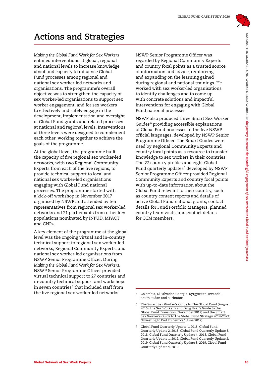

## **Actions and Strategies**

*Making the Global Fund Work for Sex Workers* entailed interventions at global, regional and national levels to increase knowledge about and capacity to influence Global Fund processes among regional and national sex worker-led networks and organisations. The programme's overall objective was to strengthen the capacity of sex worker-led organisations to support sex worker engagement, and for sex workers to effectively and safely engage in the development, implementation and oversight of Global Fund grants and related processes at national and regional levels. Interventions at three levels were designed to complement each other, working together to achieve the goals of the programme.

At the global level, the programme built the capacity of five regional sex worker-led networks, with two Regional Community Experts from each of the five regions, to provide technical support to local and national sex worker-led organisations engaging with Global Fund national processes. The programme started with a kick-off workshop in November 2017 organised by NSWP and attended by ten representatives from regional sex worker-led networks and 21 participants from other key populations nominated by INPUD, MPACT and GNP+.

A key element of the programme at the global level was the ongoing virtual and in-country technical support to regional sex worker-led networks, Regional Community Experts, and national sex worker-led organisations from NSWP Senior Programme Officer. During *Making the Global Fund Work for Sex Workers*, NSWP Senior Programme Officer provided virtual technical support to 27 countries and in-country technical support and workshops in seven countries<sup>5</sup> that included staff from the five regional sex worker-led networks.

NSWP Senior Programme Officer was regarded by Regional Community Experts and country focal points as a trusted source of information and advice, reinforcing and expanding on the learning gained during regional and national trainings. He worked with sex worker-led organisations to identify challenges and to come up with concrete solutions and impactful interventions for engaging with Global Fund national processes.

**Actions and Strategies**<br>
Mobile of Sex Work Projects 10MAKING THE GLOBAL FUND WORKERS: The formula of the sex Workers in the group of the sex Workers in the second three sex works in the second terms in the second terms i NSWP also produced three Smart Sex Worker Guides 6 providing accessible explanations of Global Fund processes in the five NSWP official languages, developed by NSWP Senior Programme Officer. The Smart Guides were used by Regional Community Experts and country focal points as a resource to transfer knowledge to sex workers in their countries. The 27 country profiles and eight Global Fund quarterly updates<sup>7</sup> developed by NSWP Senior Programme Officer provided Regional Community Experts and country focal points with up-to-date information about the Global Fund relevant to their country, such as country context reports and details of active Global Fund national grants, contact details for Fund Portfolio Managers, planned country team visits, and contact details for CCM members.

<sup>5</sup> Colombia, El Salvador, Georgia, Kyrgyzstan, Rwanda, South Sudan and Suriname.

<sup>6</sup> [The Smart Sex Worker's Guide to The Global Fund](https://www.nswp.org/resource/the-smart-sex-workers-guide-the-global-fund) (August 2015), the [Sex Worker's and Drug User's Guide to the](https://www.nswp.org/resource/smart-guide-sex-workers-and-drug-users-guide-the-global-fund-transition)  [Global Fund Transition](https://www.nswp.org/resource/smart-guide-sex-workers-and-drug-users-guide-the-global-fund-transition) (November 2017) and the [Smart](https://www.nswp.org/resource/the-smart-sex-workers-guide-the-global-fund-strategy-2017-2022-investing-end-epidemics)  [Sex Worker's Guide to the Global Fund Strategy 2017–2022:](https://www.nswp.org/resource/the-smart-sex-workers-guide-the-global-fund-strategy-2017-2022-investing-end-epidemics)  ["Investing to End Epidemics"](https://www.nswp.org/resource/the-smart-sex-workers-guide-the-global-fund-strategy-2017-2022-investing-end-epidemics) (June 2017).

<sup>7</sup> [Global Fund Quarterly Update 1, 2018,](https://www.nswp.org/resource/global-fund-quarterly-update-1-2018) [Global Fund](https://www.nswp.org/resource/global-fund-quarterly-update-2-2018)  [Quarterly Update 2, 2018](https://www.nswp.org/resource/global-fund-quarterly-update-2-2018), [Global Fund Quarterly Update 3,](https://www.nswp.org/resource/global-fund-quarterly-update-3-2018)  [2018](https://www.nswp.org/resource/global-fund-quarterly-update-3-2018), [Global Fund Quarterly Update 4, 2018](https://www.nswp.org/resource/global-fund-quarterly-update-4-2018), [Global Fund](https://www.nswp.org/resource/nswp-publications/global-fund-quarterly-update-1-2019)  [Quarterly Update 1, 2019](https://www.nswp.org/resource/nswp-publications/global-fund-quarterly-update-1-2019), [Global Fund Quarterly Update 2,](https://www.nswp.org/resource/global-fund-quarterly-update-2-2019)  [2019,](https://www.nswp.org/resource/global-fund-quarterly-update-2-2019) [Global Fund Quarterly Update 3, 2019,](https://www.nswp.org/resource/nswp-publications/global-fund-quarterly-update-3-2019) [Global Fund](https://www.nswp.org/resource/nswp-publications/global-fund-quarterly-update-4-2019)  [Quarterly Update 4, 2019](https://www.nswp.org/resource/nswp-publications/global-fund-quarterly-update-4-2019).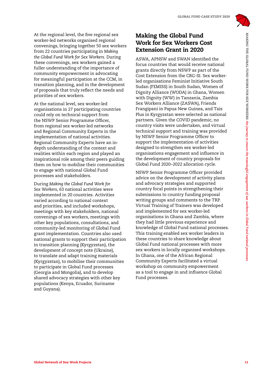

At the regional level, the five regional sex worker-led networks organised regional convenings, bringing together 50 sex workers from 22 countries participating in *Making the Global Fund Work for Sex Workers*. During these convenings, sex workers gained a fuller understanding of the importance of community empowerment in advocating for meaningful participation at the CCM, in transition planning, and in the development of proposals that truly reflect the needs and priorities of sex workers.

At the national level, sex worker-led organisations in 27 participating countries could rely on technical support from the NSWP Senior Programme Officer, from regional sex worker-led networks and Regional Community Experts in the implementation of national activities. Regional Community Experts have an indepth understanding of the context and realities within each region and played an inspirational role among their peers guiding them on how to mobilise their communities to engage with national Global Fund processes and stakeholders.

During *Making the Global Fund Work for Sex Workers*, 63 national activities were implemented in 20 countries. Activities varied according to national context and priorities, and included workshops, meetings with key stakeholders, national convenings of sex workers, meetings with other key populations, consultations, and community-led monitoring of Global Fund grant implementation. Countries also used national grants to support their participation in transition planning (Kyrgyzstan), the development of concept note (Ukraine), to translate and adapt training materials (Kyrgyzstan), to mobilise their communities to participate in Global Fund processes (Georgia and Mongolia), and to develop shared advocacy strategies with other key populations (Kenya, Ecuador, Suriname and Guyana).

#### Making the Global Fund Work for Sex Workers Cost Extension Grant in 2020

At the regional Convention of Sex Work Projects 11MAKING THE GLOBAL FUND WORK FOR SEX WORKERS COST<br>
from Society and Work for Sex Workers During<br>
the Global Tarif Work for Sex Workers 11MAKING THE GLOBAL FUND EXC NOTES 110 ASWA, APNSW and SWAN identified the focus countries that would receive national grants directly from NSWP as part of the Cost Extension from the CRG-SI. Sex workerled organisations Feminist Initiative South Sudan (FEMISS) in South Sudan, Women of Dignity Alliance (WODA) in Ghana, Women with Dignity (WW) in Tanzania, Zambia Sex Workers Alliance (ZASWA), Friends Frangipani in Papua New Guinea, and Tais Plus in Kyrgyzstan were selected as national partners. Given the COVID pandemic, no country visits were undertaken, and virtual technical support and training was provided by NSWP Senior Programme Officer to support the implementation of activities designed to strengthen sex worker-led organisations engagement and influence in the development of country proposals for Global Fund 2020–2022 allocation cycle.

NSWP Senior Programme Officer provided advice on the development of activity plans and advocacy strategies and supported country focal points in strengthening their submissions to country funding proposal writing groups and comments to the TRP. Virtual Training of Trainers was developed and implemented for sex worker-led organisations in Ghana and Zambia, where they had little previous experience and knowledge of Global Fund national processes. This training enabled sex worker leaders in these countries to share knowledge about Global Fund national processes with more sex workers in locally organised workshops. In Ghana, one of the African Regional Community Experts facilitated a virtual workshop on community empowerment as a tool to engage in and influence Global Fund processes.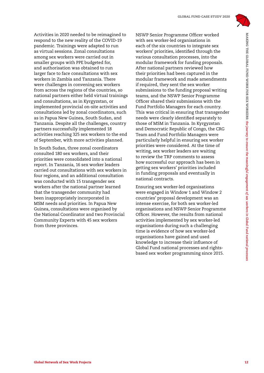

Activities in 2020 needed to be reimagined to respond to the new reality of the COVID-19 pandemic. Trainings were adapted to run as virtual sessions. Zonal consultations among sex workers were carried out in smaller groups with PPE budgeted for, and authorisation was obtained to run larger face to face consultations with sex workers in Zambia and Tanzania. There were challenges in convening sex workers from across the regions of the countries, so national partners either held virtual trainings and consultations, as in Kyrgyzstan, or implemented provincial on-site activities and consultations led by zonal coordinators, such as in Papua New Guinea, South Sudan, and Tanzania. Despite all the challenges, country partners successfully implemented 18 activities reaching 325 sex workers to the end of September, with more activities planned.

In South Sudan, three zonal coordinators consulted 180 sex workers, and their priorities were consolidated into a national report. In Tanzania, 16 sex worker leaders carried out consultations with sex workers in four regions, and an additional consultation was conducted with 15 transgender sex workers after the national partner learned that the transgender community had been inappropriately incorporated in MSM needs and priorities. In Papua New Guinea, consultations were organised by the National Coordinator and two Provincial Community Experts with 45 sex workers from three provinces.

Activity in Network of Sex Work Projects 12MAKING The meaning of Sex Work Projects 12MAKING THE GLOBAL FUND WORKERS: the meaning of the stationary to ensure the meaning the stationary of sex workers in the six work of sex NSWP Senior Programme Officer worked with sex worker-led organisations in each of the six countries to integrate sex workers' priorities, identified through the various consultation processes, into the modular framework for funding proposals. After national partners reviewed how their priorities had been captured in the modular framework and made amendments if required, they sent the sex worker submissions to the funding proposal writing teams, and the NSWP Senior Programme Officer shared their submissions with the Fund Portfolio Managers for each country. This was critical in ensuring that transgender needs were clearly identified separately to those of MSM in Tanzania. In Kyrgyzstan and Democratic Republic of Congo, the CRG Team and Fund Portfolio Managers were particularly helpful in ensuring sex worker priorities were considered. At the time of writing, sex worker leaders are waiting to review the TRP comments to assess how successful our approach has been in getting sex workers' priorities included in funding proposals and eventually in national contracts.

Ensuring sex worker-led organisations were engaged in Window 1 and Window 2 countries' proposal development was an intense exercise, for both sex worker-led organisations and NSWP Senior Programme Officer. However, the results from national activities implemented by sex worker-led organisations during such a challenging time is evidence of how sex worker-led organisations have gained and used knowledge to increase their influence of Global Fund national processes and rightsbased sex worker programming since 2015.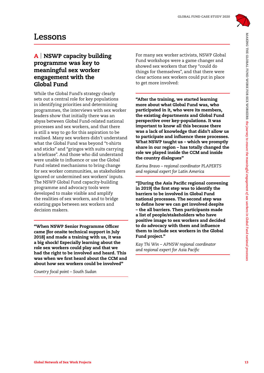

## **Lessons**

#### A | NSWP capacity building programme was key to meaningful sex worker engagement with the Global Fund

**Lessons**<br> **A INSWP capacity building from the strate and constructed the strate and the proposition of the strate and the strate in the former constraints in the meaning projection of the meaning for the meaning of the st** While the Global Fund's strategy clearly sets out a central role for key populations in identifying priorities and determining programmes, the interviews with sex worker leaders show that initially there was an abyss between Global Fund-related national processes and sex workers, and that there is still a way to go for this aspiration to be realised. Many sex workers didn't understand what the Global Fund was beyond "t-shirts and sticks" and "gringos with suits carrying a briefcase". And those who did understand were unable to influence or use the Global Fund related mechanisms to bring change for sex worker communities, as stakeholders ignored or undermined sex workers' inputs. The NSWP Global Fund capacity-building programme and advocacy tools were developed to make visible and amplify the realities of sex workers, and to bridge existing gaps between sex workers and decision makers.

"When NSWP Senior Programme Officer came [for onsite technical support in July 2018] and made a training with us, it was a big shock! Especially learning about the role sex workers could play and that we had the right to be involved and heard. This was when we first heard about the CCM and about how sex workers could be involved"

*Country focal point – South Sudan*

For many sex worker activists, NSWP Global Fund workshops were a game changer and showed sex workers that they "could do things for themselves", and that there were clear actions sex workers could put in place to get more involved:

"After the training, we started learning more about what Global Fund was, who participated in it, who were its members, the existing departments and Global Fund perspective over key-populations. It was important to know all this because there was a lack of knowledge that didn't allow us to participate and influence these processes. What NSWP taught us – which we promptly share in our region – has totally changed the role we played inside the CCM and inside the country dialogues"

*Karina Bravo – regional coordinator PLAPERTS and regional expert for Latin America*

"[During the Asia Pacific regional convening in 2019] the first step was to identify the barriers to be involved in Global Fund national processes. The second step was to define how we can get involved despite – the all barriers. Then participants made a list of people/stakeholders who have positive image to sex workers and decided to do advocacy with them and influence them to include sex workers in the Global Fund project."

*Kay Thi Win – APNSW regional coordinator and regional expert for Asia Pacific*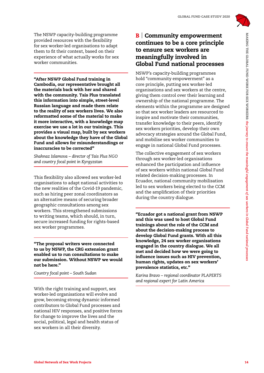

The NSWP capacity-building programme provided resources with the flexibility for sex worker-led organisations to adapt them to fit their context, based on their experience of what actually works for sex worker communities.

"After NSWP Global Fund training in Cambodia, our representative brought all the materials back with her and shared with the community. Tais Plus translated this information into simple, street-level Russian language and made them relate to the reality of sex workers lives. We also reformatted some of the material to make it more interactive, with a knowledge map exercise we use a lot in our trainings. This provides a visual map, built by sex workers about the knowledge they have of the Global Fund and allows for misunderstandings or inaccuracies to be corrected"

*Shahnaz Islamova – director of Tais Plus NGO and country focal point in Kyrgyzstan*

This flexibility also allowed sex worker-led organisations to adapt national activities to the new realities of the Covid-19 pandemic, such as hiring peer zonal coordinators as an alternative means of securing broader geographic consultations among sex workers. This strengthened submissions to writing teams, which should, in turn, secure increased funding for rights-based sex worker programmes.

"The proposal writers were connected to us by NSWP, the CRG extension grant enabled us to run consultations to make our submission. Without NSWP we would not be here."

*Country focal point – South Sudan*

With the right training and support, sex worker-led organisations will evolve and grow, becoming strong dynamic informed contributors to Global Fund processes and national HIV responses, and positive forces for change to improve the lives and the social, political, legal and health status of sex workers in all their diversity.

#### **B** Community empowerment continues to be a core principle to ensure sex workers are meaningfully involved in Global Fund national processes

The factor term is the section of the formula of the section of the formula of the formula of the form in the formula of the form in the form of the form in the form in the form in the form in the stational properties of NSWP's capacity-building programmes hold "community empowerment" as a core principle, putting sex worker-led organisations and sex workers at the centre, giving them control over their learning and ownership of the national programme. The elements within the programme are designed so that sex worker leaders are resourced to inspire and motivate their communities, transfer knowledge to their peers, identify sex workers priorities, develop their own advocacy strategies around the Global Fund, and mobilise sex worker communities to engage in national Global Fund processes.

The collective engagement of sex workers through sex worker-led organisations enhanced the participation and influence of sex workers within national Global Fund related decision-making processes. In Ecuador, national community mobilisation led to sex workers being elected to the CCM and the amplification of their priorities during the country dialogue.

"Ecuador got a national grant from NSWP and this was used to host Global Fund trainings about the role of the CCM and about the decision-making process to develop Global Fund grants. With all this knowledge, 24 sex worker organisations engaged in the country dialogue. We all met and decided how we were going to influence issues such as HIV prevention, human rights, updates on sex workers' prevalence statistics, etc."

*Karina Bravo – regional coordinator PLAPERTS and regional expert for Latin America*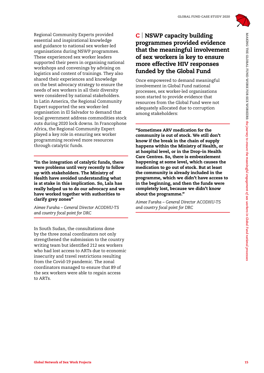

Represent Constrained The High Research Constrained The High Research Constrained The meaningful involvement<br>
and the meaning the project signification of Sex Workers is key to ensure the meaningful involvement<br>
The superi Regional Community Experts provided essential and inspirational knowledge and guidance to national sex worker-led organisations during NSWP programmes. These experienced sex worker leaders supported their peers in organising national workshops and convenings by advising on logistics and content of trainings. They also shared their experiences and knowledge on the best advocacy strategy to ensure the needs of sex workers in all their diversity were considered by national stakeholders. In Latin America, the Regional Community Expert supported the sex worker-led organisation in El Salvador to demand that local government address commodities stock outs during 2020 lock downs. In Francophone Africa, the Regional Community Expert played a key role in ensuring sex worker programming received more resources through catalytic funds.

"In the integration of catalytic funds, there were problems until very recently to follow up with stakeholders. The Ministry of Health have avoided understanding what is at stake in this implication. So, Lala has really helped us to do our advocacy and we have worked together with authorities to clarify grey zones"

*Aimee Furaha – General Director ACODHU-TS and country focal point for DRC*

In South Sudan, the consultations done by the three zonal coordinators not only strengthened the submission to the country writing team but identified 212 sex workers who had lost access to ARTs due to economic insecurity and travel restrictions resulting from the Covid-19 pandemic. The zonal coordinators managed to ensure that 89 of the sex workers were able to regain access to ARTs.

#### C | NSWP capacity building programmes provided evidence that the meaningful involvement of sex workers is key to ensure more effective HIV responses funded by the Global Fund

Once empowered to demand meaningful involvement in Global Fund national processes, sex worker-led organisations soon started to provide evidence that resources from the Global Fund were not adequately allocated due to corruption among stakeholders:

"Sometimes ARV medication for the community is out of stock. We still don't know if the break in the chain of supply happens within the Ministry of Health, or at hospital level, or in the Drop-in Health Care Centres. So, there is embezzlement happening at some level, which causes the medication to go out of stock. But at least the community is already included in the programme, which we didn't have access to in the beginning, and then the funds were completely lost, because we didn't know about the programme."

*Aimee Furaha – General Director ACODHU-TS and country focal point for DRC*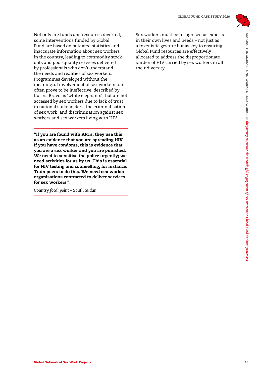

Network of Network of Sex Workers of New York Projects 16MAKING THE CHONEN CONTROL STONE CONTROL STONE IS a control of the projects in the forest to ensure the meaning to ensure the meaning to ensure the meaning of the mea Not only are funds and resources diverted, some interventions funded by Global Fund are based on outdated statistics and inaccurate information about sex workers in the country, leading to commodity stock outs and poor-quality services delivered by professionals who don't understand the needs and realities of sex workers. Programmes developed without the meaningful involvement of sex workers too often prove to be ineffective, described by Karina Bravo as 'white elephants' that are not accessed by sex workers due to lack of trust in national stakeholders, the criminalisation of sex work, and discrimination against sex workers and sex workers living with HIV.

"If you are found with ARTs, they use this as an evidence that you are spreading HIV. If you have condoms, this is evidence that you are a sex worker and you are punished. We need to sensitise the police urgently; we need activities for us by us. This is essential for HIV testing and counselling, for instance. Train peers to do this. We need sex worker organisations contracted to deliver services for sex workers".

*Country focal point – South Sudan*

Sex workers must be recognised as experts in their own lives and needs – not just as a tokenistic gesture but as key to ensuring Global Fund resources are effectively allocated to address the disproportionate burden of HIV carried by sex workers in all their diversity.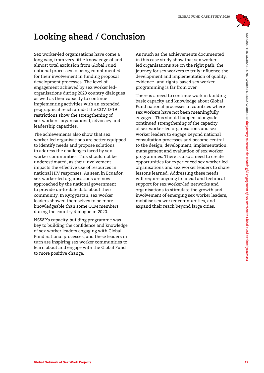

## **Looking ahead / Conclusion**

Sex worker-led organisations have come a long way, from very little knowledge of and almost total exclusion from Global Fund national processes to being complimented for their involvement in funding proposal development processes. The level of engagement achieved by sex worker ledorganisations during 2020 country dialogues as well as their capacity to continue implementing activities with an extended geographical reach amidst the COVID-19 restrictions show the strengthening of sex workers' organisational, advocacy and leadership capacities.

The achievements also show that sex worker-led organisations are better equipped to identify needs and propose solutions to address the challenges faced by sex worker communities. This should not be underestimated, as their involvement impacts the effective use of resources in national HIV responses. As seen in Ecuador, sex worker-led organisations are now approached by the national government to provide up-to-date data about their community. In Kyrgyzstan, sex worker leaders showed themselves to be more knowledgeable than some CCM members during the country dialogue in 2020.

NSWP's capacity-building programme was key to building the confidence and knowledge of sex worker leaders engaging with Global Fund national processes, and these leaders in turn are inspiring sex worker communities to learn about and engage with the Global Fund to more positive change.

As much as the achievements documented in this case study show that sex workerled organisations are on the right path, the journey for sex workers to truly influence the development and implementation of quality, evidence- and rights-based sex worker programming is far from over.

**Looking ahead / Conclusion**<br>
Easy experience one specific the meaning at the first of security and the meaning of the meaning of the meaning of the meaning of the meaning of the meaning of the meaning of the meaning of th There is a need to continue work in building basic capacity and knowledge about Global Fund national processes in countries where sex workers have not been meaningfully engaged. This should happen, alongside continued strengthening of the capacity of sex worker-led organisations and sex worker leaders to engage beyond national consultation processes and become central to the design, development, implementation, management and evaluation of sex worker programmes. There is also a need to create opportunities for experienced sex worker-led organisations and sex worker leaders to share lessons learned. Addressing these needs will require ongoing financial and technical support for sex worker-led networks and organisations to stimulate the growth and involvement of emerging sex worker leaders, mobilise sex worker communities, and expand their reach beyond large cities.